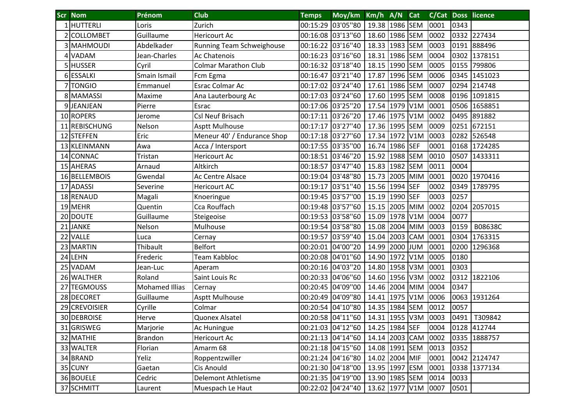|    | <b>Scr Nom</b>   | Prénom                | <b>Club</b>                 | <b>Temps</b>      | Moy/km Km/h A/N Cat              |                  |  |      |      | <b>C/Cat Doss licence</b> |
|----|------------------|-----------------------|-----------------------------|-------------------|----------------------------------|------------------|--|------|------|---------------------------|
|    | 1 HUTTERLI       | Loris                 | Zurich                      |                   | 00:15:29 03'05"80                | 19.38 1986 SEM   |  | 0001 | 0343 |                           |
|    | <b>COLLOMBET</b> | Guillaume             | Hericourt Ac                |                   | 00:16:08 03'13"60                | 18.60 1986 SEM   |  | 0002 |      | 0332 227434               |
|    | 3 MAHMOUDI       | Abdelkader            | Running Team Schweighouse   |                   | 00:16:22 03'16"40                | 18.33 1983 SEM   |  | 0003 |      | 0191 888496               |
|    | 4 VADAM          | Jean-Charles          | <b>Ac Chatenois</b>         |                   | 00:16:23 03'16"60                | 18.31 1986 SEM   |  | 0004 |      | 0302 1378151              |
|    | 5 HUSSER         | Cyril                 | <b>Colmar Marathon Club</b> |                   | 00:16:32 03'18"40                | 18.15 1990 SEM   |  | 0005 | 0155 | 799806                    |
|    | 6 ESSALKI        | Smain Ismail          | Fcm Egma                    | 00:16:47 03'21"40 |                                  | 17.87 1996 SEM   |  | 0006 |      | 0345 1451023              |
|    | 7 TONGIO         | Emmanuel              | Esrac Colmar Ac             |                   | 00:17:02 03'24"40                | 17.61 1986 SEM   |  | 0007 |      | 0294 214748               |
|    | 8 MAMASSI        | Maxime                | Ana Lauterbourg Ac          |                   | 00:17:03 03'24"60                | 17.60 1995 SEM   |  | 0008 |      | 0196 1091815              |
|    | 9JEANJEAN        | Pierre                | Esrac                       |                   | 00:17:06 03'25"20                | 17.54 1979 V1M   |  | 0001 |      | 0506 1658851              |
|    | 10 ROPERS        | Jerome                | <b>Csl Neuf Brisach</b>     | 00:17:11 03'26"20 |                                  | 17.46 1975 V1M   |  | 0002 | 0495 | 891882                    |
|    | 11 REBISCHUNG    | Nelson                | <b>Asptt Mulhouse</b>       | 00:17:17 03'27"40 |                                  | 17.36 1995 SEM   |  | 0009 |      | 0251 672151               |
|    | 12 STEFFEN       | Eric                  | Meneur 40' / Endurance Shop | 00:17:18 03'27"60 |                                  | 17.34 1972 V1M   |  | 0003 | 0282 | 526548                    |
|    | 13 KLEINMANN     | Awa                   | Acca / Intersport           |                   | 00:17:55 03'35"00                | 16.74 1986 SEF   |  | 0001 |      | 0168 1724285              |
|    | 14 CONNAC        | Tristan               | Hericourt Ac                |                   | 00:18:51 03'46"20                | 15.92 1988 SEM   |  | 0010 | 0507 | 1433311                   |
|    | 15 AHERAS        | Arnaud                | Altkirch                    |                   | 00:18:57 03'47"40                | 15.83 1982 SEM   |  | 0011 | 0004 |                           |
|    | 16 BELLEMBOIS    | Gwendal               | Ac Centre Alsace            | 00:19:04 03'48"80 |                                  | 15.73 2005 MIM   |  | 0001 |      | 0020 1970416              |
|    | 17 ADASSI        | Severine              | <b>Hericourt AC</b>         | 00:19:17 03'51"40 |                                  | 15.56 1994 SEF   |  | 0002 | 0349 | 1789795                   |
|    | 18 RENAUD        | Magali                | Knoeringue                  |                   | 00:19:45 03'57"00                | 15.19 1990 SEF   |  | 0003 | 0257 |                           |
|    | 19 MEHR          | Quentin               | Cca Rouffach                |                   | 00:19:48 03'57"60                | 15.15 2005 MIM   |  | 0002 |      | 0204 2057015              |
|    | 20 DOUTE         | Guillaume             | Steigeoise                  |                   | 00:19:53 03'58"60                | 15.09 1978 V1M   |  | 0004 | 0077 |                           |
|    | 21 JANKE         | Nelson                | Mulhouse                    |                   | 00:19:54 03'58"80                | 15.08 2004 MIM   |  | 0003 | 0159 | B08638C                   |
|    | 22 VALLE         | Luca                  | Cernay                      |                   | 00:19:57 03'59"40                | 15.04 2003 CAM   |  | 0001 | 0304 | 1763315                   |
|    | 23 MARTIN        | Thibault              | <b>Belfort</b>              |                   | 00:20:01 04'00"20                | 14.99 2000 JUM   |  | 0001 | 0200 | 1296368                   |
|    | 24 LEHN          | Frederic              | Team Kabbloc                |                   | 00:20:08 04'01"60                | 14.90 1972 V1M   |  | 0005 | 0180 |                           |
|    | 25 VADAM         | Jean-Luc              | Aperam                      |                   | 00:20:16 04'03"20                | 14.80 1958 V3M   |  | 0001 | 0303 |                           |
|    | 26 WALTHER       | Roland                | Saint Louis Rc              |                   | 00:20:33 04'06"60                | 14.60 1956 V3M   |  | 0002 | 0312 | 1822106                   |
| 27 | <b>TEGMOUSS</b>  | <b>Mohamed Illias</b> | Cernay                      |                   | 00:20:45 04'09"00                | 14.46 2004 MIM   |  | 0004 | 0347 |                           |
|    | 28 DECORET       | Guillaume             | <b>Asptt Mulhouse</b>       |                   | 00:20:49 04'09"80                | 14.41 1975 V1M   |  | 0006 | 0063 | 1931264                   |
|    | 29 CREVOISIER    | Cyrille               | Colmar                      |                   | 00:20:54 04'10"80                | 14.35 1984 SEM   |  | 0012 | 0057 |                           |
|    | 30 DEBROISE      | Herve                 | Quonex Alsatel              |                   | 00:20:58 04'11"60                | $14.31$ 1955 V3M |  | 0003 |      | 0491   T309842            |
|    | 31 GRISWEG       | Marjorie              | Ac Huningue                 |                   | 00:21:03 04'12"60 14.25 1984 SEF |                  |  | 0004 |      | 0128 412744               |
|    | 32 MATHIE        | <b>Brandon</b>        | <b>Hericourt Ac</b>         |                   | 00:21:13 04'14"60                | 14.14 2003 CAM   |  | 0002 |      | 0335 1888757              |
|    | 33 WALTER        | Florian               | Amarm 68                    |                   | 00:21:18 04'15"60                | 14.08 1991 SEM   |  | 0013 | 0352 |                           |
|    | 34 BRAND         | Yeliz                 | Roppentzwiller              | 00:21:24 04'16"80 |                                  | 14.02 2004 MIF   |  | 0001 |      | 0042 2124747              |
|    | 35 CUNY          | Gaetan                | Cis Anould                  | 00:21:30 04'18"00 |                                  | 13.95 1997 ESM   |  | 0001 |      | 0338 1377134              |
|    | 36 BOUELE        | Cedric                | <b>Delemont Athletisme</b>  |                   | 00:21:35 04'19"00                | 13.90 1985 SEM   |  | 0014 | 0033 |                           |
|    | 37 SCHMITT       | Laurent               | Muespach Le Haut            | 00:22:02 04'24"40 |                                  | 13.62 1977 V1M   |  | 0007 | 0501 |                           |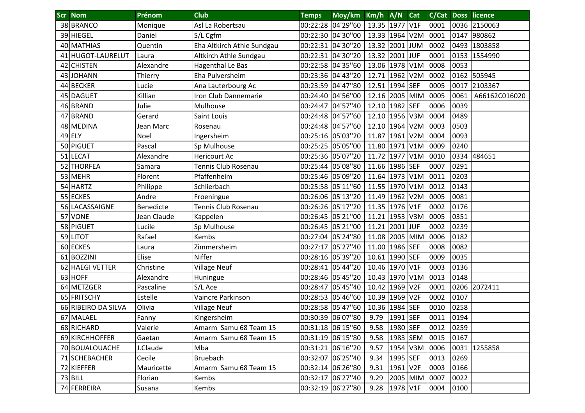|    | <b>Scr Nom</b>      | Prénom      | <b>Club</b>                | <b>Temps</b>      | Moy/km Km/h A/N Cat |                |          |      |      | <b>C/Cat Doss licence</b> |
|----|---------------------|-------------|----------------------------|-------------------|---------------------|----------------|----------|------|------|---------------------------|
|    | 38 BRANCO           | Monique     | Asl La Robertsau           |                   | 00:22:28 04'29"60   | 13.35 1977 V1F |          | 0001 |      | 0036 2150063              |
|    | 39 HIEGEL           | Daniel      | S/L Cgfm                   |                   | 00:22:30 04'30"00   | 13.33 1964 V2M |          | 0001 | 0147 | 980862                    |
|    | 40 MATHIAS          | Quentin     | Eha Altkirch Athle Sundgau |                   | 00:22:31 04'30"20   | 13.32 2001 JUM |          | 0002 | 0493 | 1803858                   |
|    | 41 HUGOT-LAURELUT   | Laura       | Altkirch Athle Sundgau     |                   | 00:22:31 04'30"20   | 13.32 2001 JUF |          | 0001 | 0153 | 1554990                   |
|    | 42 CHISTEN          | Alexandre   | Hagenthal Le Bas           |                   | 00:22:58 04'35"60   | 13.06 1978 V1M |          | 0008 | 0053 |                           |
|    | 43 JOHANN           | Thierry     | Eha Pulversheim            |                   | 00:23:36 04'43"20   | 12.71 1962 V2M |          | 0002 |      | 0162 505945               |
| 44 | <b>BECKER</b>       | Lucie       | Ana Lauterbourg Ac         |                   | 00:23:59 04'47"80   | 12.51 1994 SEF |          | 0005 | 0017 | 2103367                   |
|    | 45 DAGUET           | Killian     | Iron Club Dannemarie       |                   | 00:24:40 04'56"00   | 12.16 2005 MIM |          | 0005 | 0061 | A66162C016020             |
|    | 46 BRAND            | Julie       | Mulhouse                   |                   | 00:24:47 04'57"40   | 12.10 1982 SEF |          | 0006 | 0039 |                           |
|    | 47 BRAND            | Gerard      | Saint Louis                |                   | 00:24:48 04'57"60   | 12.10 1956 V3M |          | 0004 | 0489 |                           |
|    | 48 MEDINA           | Jean Marc   | Rosenau                    |                   | 00:24:48 04'57"60   | 12.10 1964 V2M |          | 0003 | 0503 |                           |
|    | 49 ELY              | Noel        | Ingersheim                 |                   | 00:25:16 05'03"20   | 11.87 1961 V2M |          | 0004 | 0093 |                           |
|    | 50 PIGUET           | Pascal      | Sp Mulhouse                |                   | 00:25:25 05'05"00   | 11.80 1971 V1M |          | 0009 | 0240 |                           |
| 51 | <b>LECAT</b>        | Alexandre   | <b>Hericourt Ac</b>        |                   | 00:25:36 05'07"20   | 11.72 1977 V1M |          | 0010 | 0334 | 484651                    |
| 52 | <b>THORFEA</b>      | Samara      | Tennis Club Rosenau        |                   | 00:25:44 05'08"80   | 11.66 1986 SEF |          | 0007 | 0291 |                           |
|    | 53 MEHR             | Florent     | Pfaffenheim                |                   | 00:25:46 05'09"20   | 11.64 1973 V1M |          | 0011 | 0203 |                           |
| 54 | <b>HARTZ</b>        | Philippe    | Schlierbach                |                   | 00:25:58 05'11"60   | 11.55 1970 V1M |          | 0012 | 0143 |                           |
|    | 55 ECKES            | Andre       | Froeningue                 |                   | 00:26:06 05'13"20   | 11.49 1962 V2M |          | 0005 | 0081 |                           |
| 56 | LACASSAIGNE         | Benedicte   | Tennis Club Rosenau        |                   | 00:26:26 05'17"20   | 11.35 1976 V1F |          | 0002 | 0176 |                           |
| 57 | <b>VONE</b>         | Jean Claude | Kappelen                   |                   | 00:26:45 05'21"00   | 11.21 1953 V3M |          | 0005 | 0351 |                           |
| 58 | <b>PIGUET</b>       | Lucile      | Sp Mulhouse                |                   | 00:26:45 05'21"00   | 11.21 2001 JUF |          | 0002 | 0239 |                           |
|    | 59 LITOT            | Rafael      | <b>Kembs</b>               |                   | 00:27:04 05'24"80   | 11.08 2005 MIM |          | 0006 | 0182 |                           |
|    | 60 ECKES            | Laura       | Zimmersheim                |                   | 00:27:17 05'27"40   | 11.00 1986 SEF |          | 0008 | 0082 |                           |
| 61 | <b>BOZZINI</b>      | Elise       | Niffer                     |                   | 00:28:16 05'39"20   | 10.61 1990 SEF |          | 0009 | 0035 |                           |
| 62 | <b>HAEGI VETTER</b> | Christine   | <b>Village Neuf</b>        |                   | 00:28:41 05'44"20   | 10.46 1970 V1F |          | 0003 | 0136 |                           |
| 63 | <b>HOFF</b>         | Alexandre   | Huningue                   |                   | 00:28:46 05'45"20   | 10.43 1970 V1M |          | 0013 | 0148 |                           |
| 64 | <b>METZGER</b>      | Pascaline   | S/L Ace                    |                   | 00:28:47 05'45"40   | 10.42 1969 V2F |          | 0001 |      | 0206 2072411              |
| 65 | <b>FRITSCHY</b>     | Estelle     | Vaincre Parkinson          |                   | 00:28:53 05'46"60   | 10.39 1969 V2F |          | 0002 | 0107 |                           |
|    | 66 RIBEIRO DA SILVA | Olivia      | <b>Village Neuf</b>        |                   | 00:28:58 05'47"60   | 10.36 1984 SEF |          | 0010 | 0258 |                           |
|    | 67 MALAEL           | Fanny       | Kingersheim                |                   | 00:30:39 06'07"80   | 9.79           | 1991 SEF | 0011 | 0194 |                           |
|    | 68 RICHARD          | Valerie     | Amarm Samu 68 Team 15      |                   | 00:31:18 06'15"60   | 9.58           | 1980 SEF | 0012 | 0259 |                           |
|    | 69 KIRCHHOFFER      | Gaetan      | Amarm Samu 68 Team 15      |                   | 00:31:19 06'15"80   | 9.58 1983 SEM  |          | 0015 | 0167 |                           |
|    | 70 BOUALOUACHE      | J.Claude    | Mba                        | 00:31:21 06'16"20 |                     | 9.57           | 1954 V3M | 0006 |      | 0031 1255858              |
|    | 71 SCHEBACHER       | Cecile      | Bruebach                   |                   | 00:32:07 06'25"40   | 9.34           | 1995 SEF | 0013 | 0269 |                           |
|    | 72 KIEFFER          | Mauricette  | Amarm Samu 68 Team 15      |                   | 00:32:14 06'26"80   | 9.31           | 1961 V2F | 0003 | 0166 |                           |
|    | 73 BILL             | Florian     | Kembs                      |                   | 00:32:17 06'27"40   | 9.29           | 2005 MIM | 0007 | 0022 |                           |
|    | 74 FERREIRA         | Susana      | Kembs                      |                   | 00:32:19 06'27"80   | 9.28 1978 V1F  |          | 0004 | 0100 |                           |